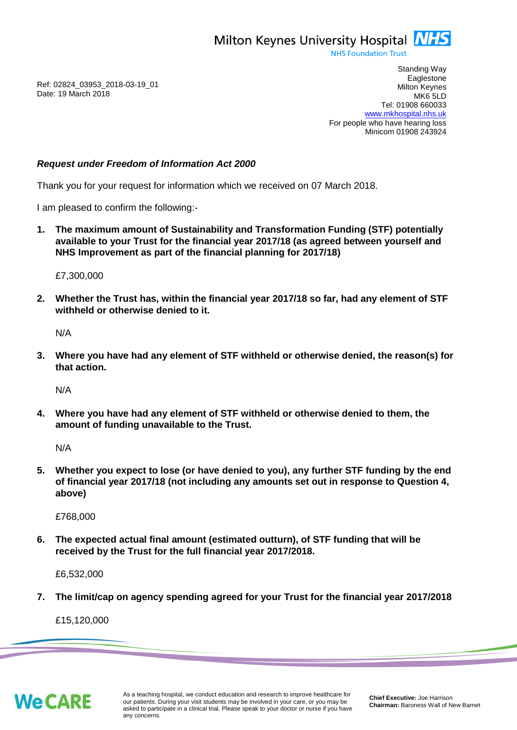Milton Keynes University Hospital **NHS** 

**NHS Foundation Trust** 

Ref: 02824\_03953\_2018-03-19\_01 Date: 19 March 2018

Standing Way **Eaglestone** Milton Keynes MK6 5LD Tel: 01908 660033 [www.mkhospital.nhs.uk](http://www.mkhospital.nhs.uk/) For people who have hearing loss Minicom 01908 243924

## *Request under Freedom of Information Act 2000*

Thank you for your request for information which we received on 07 March 2018.

I am pleased to confirm the following:-

**1. The maximum amount of Sustainability and Transformation Funding (STF) potentially available to your Trust for the financial year 2017/18 (as agreed between yourself and NHS Improvement as part of the financial planning for 2017/18)**

£7,300,000

**2. Whether the Trust has, within the financial year 2017/18 so far, had any element of STF withheld or otherwise denied to it.** 

N/A

**3. Where you have had any element of STF withheld or otherwise denied, the reason(s) for that action.** 

N/A

**4. Where you have had any element of STF withheld or otherwise denied to them, the amount of funding unavailable to the Trust.**

N/A

**5. Whether you expect to lose (or have denied to you), any further STF funding by the end of financial year 2017/18 (not including any amounts set out in response to Question 4, above)**

£768,000

**6. The expected actual final amount (estimated outturn), of STF funding that will be received by the Trust for the full financial year 2017/2018.**

£6,532,000

**7. The limit/cap on agency spending agreed for your Trust for the financial year 2017/2018**

£15,120,000